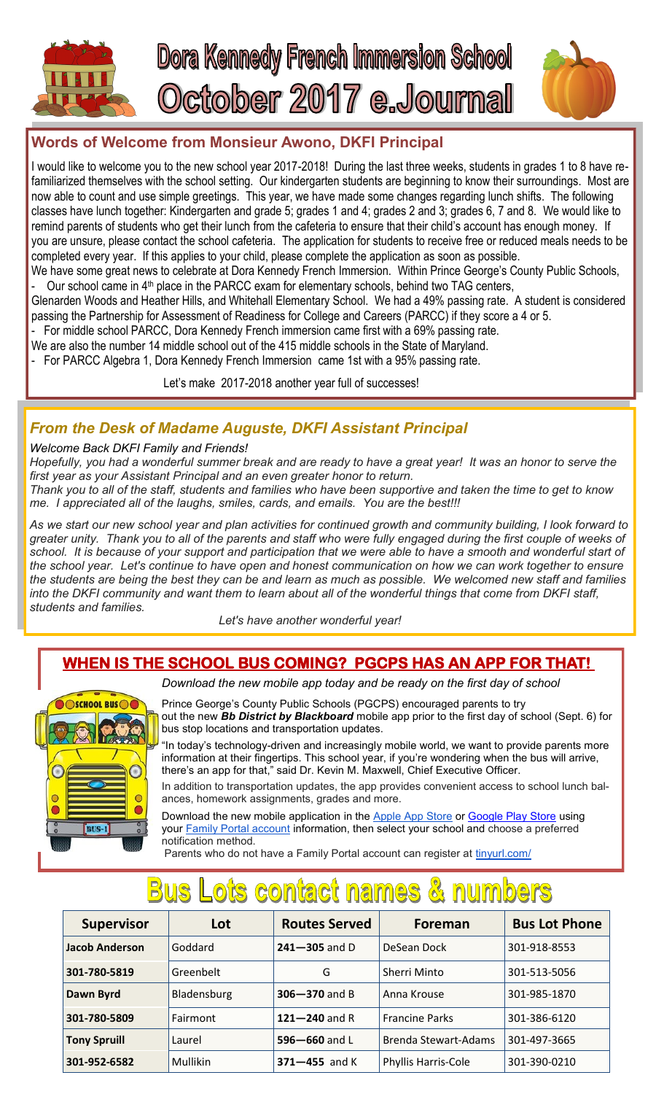

### **Words of Welcome from Monsieur Awono, DKFI Principal**

I would like to welcome you to the new school year 2017-2018! During the last three weeks, students in grades 1 to 8 have refamiliarized themselves with the school setting. Our kindergarten students are beginning to know their surroundings. Most are now able to count and use simple greetings. This year, we have made some changes regarding lunch shifts. The following classes have lunch together: Kindergarten and grade 5; grades 1 and 4; grades 2 and 3; grades 6, 7 and 8. We would like to remind parents of students who get their lunch from the cafeteria to ensure that their child's account has enough money. If you are unsure, please contact the school cafeteria. The application for students to receive free or reduced meals needs to be completed every year. If this applies to your child, please complete the application as soon as possible.

We have some great news to celebrate at Dora Kennedy French Immersion. Within Prince George's County Public Schools, Our school came in 4<sup>th</sup> place in the PARCC exam for elementary schools, behind two TAG centers,

Glenarden Woods and Heather Hills, and Whitehall Elementary School. We had a 49% passing rate. A student is considered passing the Partnership for Assessment of Readiness for College and Careers (PARCC) if they score a 4 or 5.

For middle school PARCC, Dora Kennedy French immersion came first with a 69% passing rate.

We are also the number 14 middle school out of the 415 middle schools in the State of Maryland.

- For PARCC Algebra 1, Dora Kennedy French Immersion came 1st with a 95% passing rate.

Let's make 2017-2018 another year full of successes!

## *From the Desk of Madame Auguste, DKFI Assistant Principal*

#### *Welcome Back DKFI Family and Friends!*

*Hopefully, you had a wonderful summer break and are ready to have a great year! It was an honor to serve the first year as your Assistant Principal and an even greater honor to return.*

*Thank you to all of the staff, students and families who have been supportive and taken the time to get to know me. I appreciated all of the laughs, smiles, cards, and emails. You are the best!!!* 

*As we start our new school year and plan activities for continued growth and community building, I look forward to greater unity. Thank you to all of the parents and staff who were fully engaged during the first couple of weeks of school. It is because of your support and participation that we were able to have a smooth and wonderful start of the school year. Let's continue to have open and honest communication on how we can work together to ensure the students are being the best they can be and learn as much as possible. We welcomed new staff and families into the DKFI community and want them to learn about all of the wonderful things that come from DKFI staff, students and families.*

 *Let's have another wonderful year!*

## **WHEN IS THE SCHOOL BUS COMING? PGCPS HAS AN APP FOR THAT!**



*Download the new mobile app today and be ready on the first day of school*

Prince George's County Public Schools (PGCPS) encouraged parents to try out the new *Bb District by Blackboard* mobile app prior to the first day of school (Sept. 6) for bus stop locations and transportation updates.

"In today's technology-driven and increasingly mobile world, we want to provide parents more information at their fingertips. This school year, if you're wondering when the bus will arrive, there's an app for that," said Dr. Kevin M. Maxwell, Chief Executive Officer.

In addition to transportation updates, the app provides convenient access to school lunch balances, homework assignments, grades and more.

Download the new mobile application in the [Apple App Store](http://links.govdelivery.com/track?type=click&enid=ZWFzPTEmbXNpZD0mYXVpZD0mbWFpbGluZ2lkPTIwMTcwODE4Ljc3MTA4MzAxJm1lc3NhZ2VpZD1NREItUFJELUJVTC0yMDE3MDgxOC43NzEwODMwMSZkYXRhYmFzZWlkPTEwMDEmc2VyaWFsPTE2OTQ1NDQ1JmVtYWlsaWQ9Yy5qYWNvYnJvYmluc29uQHBnY3BzLm9yZyZ1c2Vy) or [Google Play Store](http://links.govdelivery.com/track?type=click&enid=ZWFzPTEmbXNpZD0mYXVpZD0mbWFpbGluZ2lkPTIwMTcwODE4Ljc3MTA4MzAxJm1lc3NhZ2VpZD1NREItUFJELUJVTC0yMDE3MDgxOC43NzEwODMwMSZkYXRhYmFzZWlkPTEwMDEmc2VyaWFsPTE2OTQ1NDQ1JmVtYWlsaWQ9Yy5qYWNvYnJvYmluc29uQHBnY3BzLm9yZyZ1c2Vy) using your [Family Portal account](http://links.govdelivery.com/track?type=click&enid=ZWFzPTEmbXNpZD0mYXVpZD0mbWFpbGluZ2lkPTIwMTcwODE4Ljc3MTA4MzAxJm1lc3NhZ2VpZD1NREItUFJELUJVTC0yMDE3MDgxOC43NzEwODMwMSZkYXRhYmFzZWlkPTEwMDEmc2VyaWFsPTE2OTQ1NDQ1JmVtYWlsaWQ9Yy5qYWNvYnJvYmluc29uQHBnY3BzLm9yZyZ1c2Vy) information, then select your school and choose a preferred notification method.

Parents who do not have a Family Portal account can register at [tinyurl.com/](http://links.govdelivery.com/track?type=click&enid=ZWFzPTEmbXNpZD0mYXVpZD0mbWFpbGluZ2lkPTIwMTcwODE4Ljc3MTA4MzAxJm1lc3NhZ2VpZD1NREItUFJELUJVTC0yMDE3MDgxOC43NzEwODMwMSZkYXRhYmFzZWlkPTEwMDEmc2VyaWFsPTE2OTQ1NDQ1JmVtYWlsaWQ9Yy5qYWNvYnJvYmluc29uQHBnY3BzLm9yZyZ1c2Vy)

# **Bus Lots contact names & numbers**

| <b>Supervisor</b>     | Lot         | <b>Routes Served</b> | <b>Foreman</b>             | <b>Bus Lot Phone</b> |
|-----------------------|-------------|----------------------|----------------------------|----------------------|
| <b>Jacob Anderson</b> | Goddard     | $241 - 305$ and D    | DeSean Dock                | 301-918-8553         |
| 301-780-5819          | Greenbelt   | G                    | Sherri Minto               | 301-513-5056         |
| Dawn Byrd             | Bladensburg | $306 - 370$ and B    | Anna Krouse                | 301-985-1870         |
| 301-780-5809          | Fairmont    | 121 $-$ 240 and R    | <b>Francine Parks</b>      | 301-386-6120         |
| <b>Tony Spruill</b>   | Laurel      | 596-660 and L        | Brenda Stewart-Adams       | 301-497-3665         |
| 301-952-6582          | Mullikin    | $371 - 455$ and K    | <b>Phyllis Harris-Cole</b> | 301-390-0210         |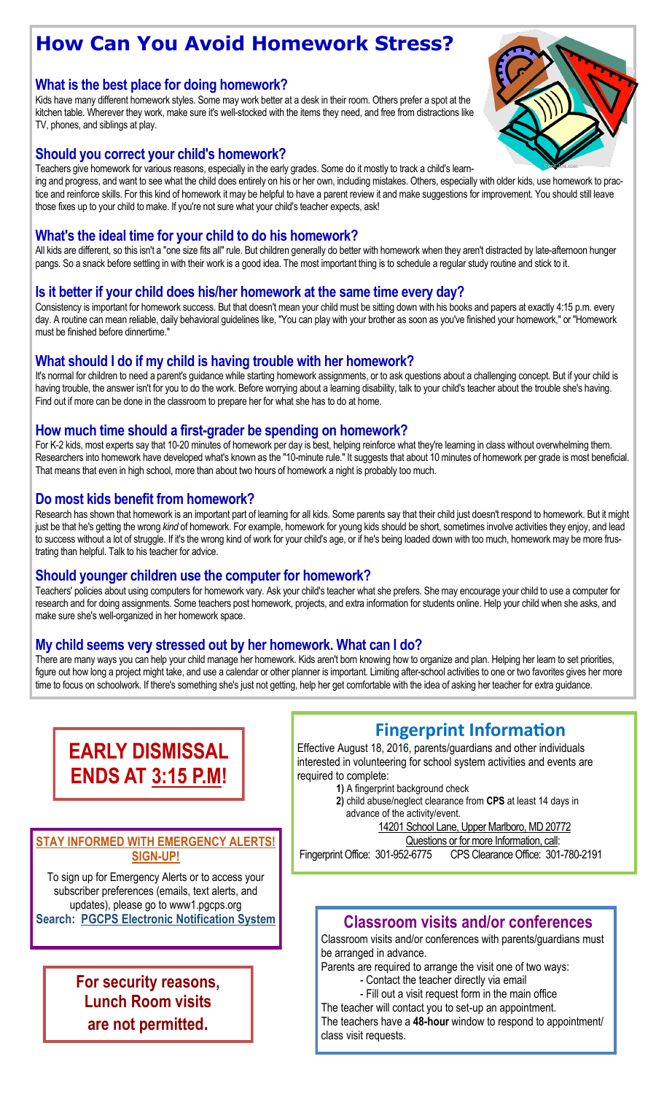## **How Can You Avoid Homework Stress?**

#### **What is the best place for doing homework?**

Kids have many different homework styles. Some may work better at a desk in their room. Others prefer a spot at the kitchen table. Wherever they work, make sure it's well-stocked with the items they need, and free from distractions like TV, phones, and siblings at play.

#### **Should you correct your child's homework?**

Teachers give homework for various reasons, especially in the early grades. Some do it mostly to track a child's learn-

ing and progress, and want to see what the child does entirely on his or her own, including mistakes. Others, especially with older kids, use homework to practice and reinforce skills. For this kind of homework it may be helpful to have a parent review it and make suggestions for improvement. You should still leave those fixes up to your child to make. If you're not sure what your child's teacher expects, ask!

#### **What's the ideal time for your child to do his homework?**

All kids are different, so this isn't a "one size fits all" rule. But children generally do better with homework when they aren't distracted by late-afternoon hunger pangs. So a snack before settling in with their work is a good idea. The most important thing is to schedule a regular study routine and stick to it.

#### **Is it better if your child does his/her homework at the same time every day?**

Consistency is important for homework success. But that doesn't mean your child must be sitting down with his books and papers at exactly 4:15 p.m. every day. A routine can mean reliable, daily behavioral guidelines like, "You can play with your brother as soon as you've finished your homework," or "Homework must be finished before dinnertime."

#### **What should I do if my child is having trouble with her homework?**

It's normal for children to need a parent's guidance while starting homework assignments, or to ask questions about a challenging concept. But if your child is having trouble, the answer isn't for you to do the work. Before worrying about a learning disability, talk to your child's teacher about the trouble she's having. Find out if more can be done in the classroom to prepare her for what she has to do at home.

#### **How much time should a first-grader be spending on homework?**

For K-2 kids, most experts say that 10-20 minutes of homework per day is best, helping reinforce what they're learning in class without overwhelming them. Researchers into homework have developed what's known as the "10-minute rule." It suggests that about 10 minutes of homework per grade is most beneficial. That means that even in high school, more than about two hours of homework a night is probably too much.

#### **Do most kids benefit from homework?**

Research has shown that homework is an important part of learning for all kids. Some parents say that their child just doesn't respond to homework. But it might just be that he's getting the wrong *kind* of homework. For example, homework for young kids should be short, sometimes involve activities they enjoy, and lead to success without a lot of struggle. If it's the wrong kind of work for your child's age, or if he's being loaded down with too much, homework may be more frustrating than helpful. Talk to his teacher for advice.

#### **Should younger children use the computer for homework?**

Teachers' policies about using computers for homework vary. Ask your child's teacher what she prefers. She may encourage your child to use a computer for research and for doing assignments. Some teachers post homework, projects, and extra information for students online. Help your child when she asks, and make sure she's well-organized in her homework space.

#### **My child seems very stressed out by her homework. What can I do?**

There are many ways you can help your child manage her homework. Kids aren't born knowing how to organize and plan. Helping her learn to set priorities, figure out how long a project might take, and use a calendar or other planner is important. Limiting after-school activities to one or two favorites gives her more time to focus on schoolwork. If there's something she's just not getting, help her get comfortable with the idea of asking her teacher for extra guidance.

## **EARLY DISMISSAL ENDS AT 3:15 P.M!**

#### **STAY INFORMED WITH EMERGENCY ALERTS! SIGN-UP!**

To sign up for Emergency Alerts or to access your subscriber preferences (emails, text alerts, and updates), please go to www1.pgcps.org

## **For security reasons, Lunch Room visits are not permitted.**

## **Fingerprint Information**

Effective August 18, 2016, parents/guardians and other individuals interested in volunteering for school system activities and events are required to complete:

- **1)** A fingerprint background check
- **2)** child abuse/neglect clearance from **CPS** at least 14 days in advance of the activity/event.

14201 School Lane, Upper Marlboro, MD 20772

 Questions or for more Information, call: Fingerprint Office: 301-952-6775 CPS Clearance Office: 301-780-2191

## **Search: [PGCPS Electronic Notification System](https://public.govdelivery.com/accounts/PGCPS/subscriber/new) Classroom visits and/or conferences**

Classroom visits and/or conferences with parents/guardians must be arranged in advance.

Parents are required to arrange the visit one of two ways:

- Contact the teacher directly via email
- Fill out a visit request form in the main office The teacher will contact you to set-up an appointment.

The teachers have a **48-hour** window to respond to appointment/ class visit requests.

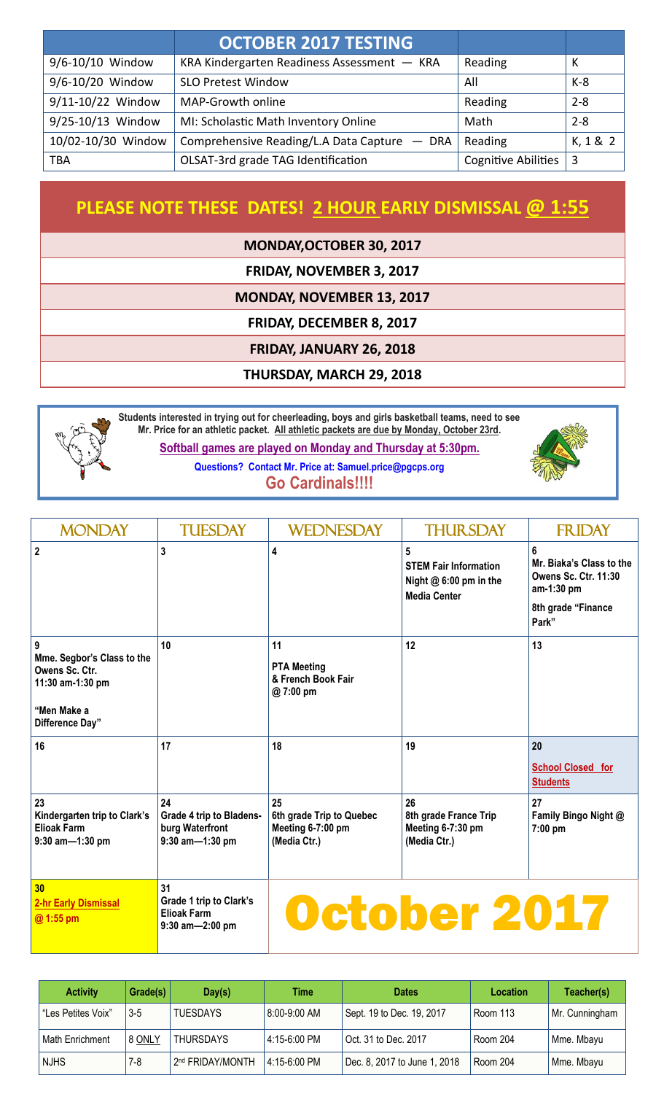|                    | <b>OCTOBER 2017 TESTING</b>                  |                            |          |
|--------------------|----------------------------------------------|----------------------------|----------|
| 9/6-10/10 Window   | KRA Kindergarten Readiness Assessment - KRA  | Reading                    | К        |
| 9/6-10/20 Window   | <b>SLO Pretest Window</b>                    | All                        | $K-8$    |
| 9/11-10/22 Window  | MAP-Growth online                            | Reading                    | $2 - 8$  |
| 9/25-10/13 Window  | MI: Scholastic Math Inventory Online         | Math                       | $2 - 8$  |
| 10/02-10/30 Window | Comprehensive Reading/L.A Data Capture - DRA | Reading                    | K, 1 & 2 |
| <b>TBA</b>         | OLSAT-3rd grade TAG Identification           | <b>Cognitive Abilities</b> | 3        |

## **PLEASE NOTE THESE DATES! 2 HOUR EARLY DISMISSAL @ 1:55**

**MONDAY,OCTOBER 30, 2017**

**FRIDAY, NOVEMBER 3, 2017**

**MONDAY, NOVEMBER 13, 2017**

**FRIDAY, DECEMBER 8, 2017**

**FRIDAY, JANUARY 26, 2018**

#### **THURSDAY, MARCH 29, 2018**



**Students interested in trying out for cheerleading, boys and girls basketball teams, need to see Mr. Price for an athletic packet. All athletic packets are due by Monday, October 23rd. Softball games are played on Monday and Thursday at 5:30pm.**

> **Questions? Contact Mr. Price at: Samuel.price@pgcps.org Go Cardinals!!!!**



| <b>MONDAY</b>                                                                                           | <b>TUESDAY</b>                                                         | <b>WEDNESDAY</b>                                                    | <b>THURSDAY</b>                                                                                   | <b>FRIDAY</b>                                                                                             |
|---------------------------------------------------------------------------------------------------------|------------------------------------------------------------------------|---------------------------------------------------------------------|---------------------------------------------------------------------------------------------------|-----------------------------------------------------------------------------------------------------------|
| $\overline{2}$                                                                                          | $\overline{3}$                                                         | 4                                                                   | $5\phantom{.0}$<br><b>STEM Fair Information</b><br>Night $@6:00$ pm in the<br><b>Media Center</b> | 6<br>Mr. Biaka's Class to the<br><b>Owens Sc. Ctr. 11:30</b><br>am-1:30 pm<br>8th grade "Finance<br>Park" |
| 9<br>Mme. Segbor's Class to the<br>Owens Sc. Ctr.<br>11:30 am-1:30 pm<br>"Men Make a<br>Difference Day" | 10                                                                     | 11<br><b>PTA Meeting</b><br>& French Book Fair<br>@7:00 pm          | 12                                                                                                | 13                                                                                                        |
| 16                                                                                                      | 17                                                                     | 18                                                                  | 19                                                                                                | 20<br><b>School Closed for</b><br><b>Students</b>                                                         |
| 23<br>Kindergarten trip to Clark's<br><b>Elioak Farm</b><br>9:30 am-1:30 pm                             | 24<br>Grade 4 trip to Bladens-<br>burg Waterfront<br>9:30 am-1:30 pm   | 25<br>6th grade Trip to Quebec<br>Meeting 6-7:00 pm<br>(Media Ctr.) | 26<br>8th grade France Trip<br>Meeting 6-7:30 pm<br>(Media Ctr.)                                  | 27<br>Family Bingo Night @<br>7:00 pm                                                                     |
| 30<br><b>2-hr Early Dismissal</b><br>@ 1:55 pm                                                          | 31<br>Grade 1 trip to Clark's<br><b>Elioak Farm</b><br>9:30 am-2:00 pm |                                                                     | October 2017                                                                                      |                                                                                                           |

| <b>Activity</b>    | Grade(s) | Day(s)                       | Time         | <b>Dates</b>                 | <b>Location</b> | Teacher(s)     |
|--------------------|----------|------------------------------|--------------|------------------------------|-----------------|----------------|
| "Les Petites Voix" | $3 - 5$  | <b>TUESDAYS</b>              | 8:00-9:00 AM | Sept. 19 to Dec. 19, 2017    | Room 113        | Mr. Cunningham |
| Math Enrichment    | 8 ONLY   | <b>THURSDAYS</b>             | 4:15-6:00 PM | Oct. 31 to Dec. 2017         | Room 204        | Mme. Mbayu     |
| <b>NJHS</b>        | $7-8$    | 2 <sup>nd</sup> FRIDAY/MONTH | 4:15-6:00 PM | Dec. 8, 2017 to June 1, 2018 | Room 204        | Mme. Mbayu     |